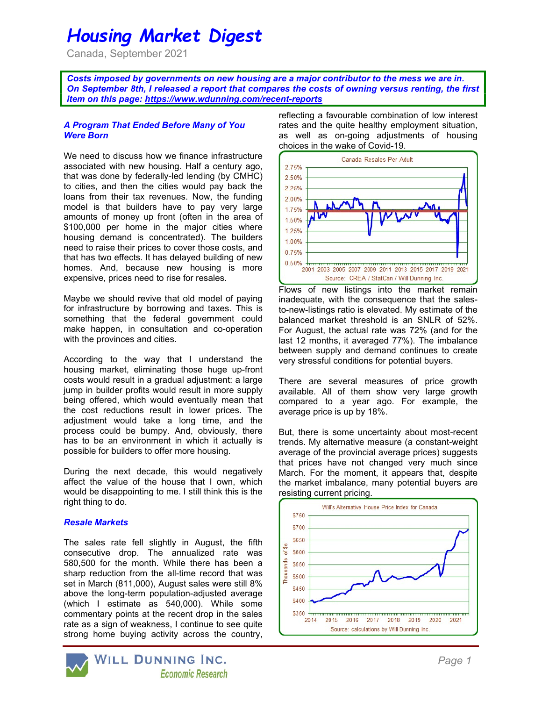# Housing Market Digest

Canada, September 2021

Costs imposed by governments on new housing are a major contributor to the mess we are in. On September 8th, I released a report that compares the costs of owning versus renting, the first item on this page: https://www.wdunning.com/recent-reports

### A Program That Ended Before Many of You Were Born

We need to discuss how we finance infrastructure associated with new housing. Half a century ago, that was done by federally-led lending (by CMHC) to cities, and then the cities would pay back the loans from their tax revenues. Now, the funding model is that builders have to pay very large amounts of money up front (often in the area of \$100,000 per home in the major cities where housing demand is concentrated). The builders need to raise their prices to cover those costs, and that has two effects. It has delayed building of new homes. And, because new housing is more expensive, prices need to rise for resales.

Maybe we should revive that old model of paying for infrastructure by borrowing and taxes. This is something that the federal government could make happen, in consultation and co-operation with the provinces and cities.

According to the way that I understand the housing market, eliminating those huge up-front costs would result in a gradual adjustment: a large jump in builder profits would result in more supply being offered, which would eventually mean that the cost reductions result in lower prices. The adjustment would take a long time, and the process could be bumpy. And, obviously, there has to be an environment in which it actually is possible for builders to offer more housing.

During the next decade, this would negatively affect the value of the house that I own, which would be disappointing to me. I still think this is the right thing to do.

#### Resale Markets

The sales rate fell slightly in August, the fifth consecutive drop. The annualized rate was 580,500 for the month. While there has been a sharp reduction from the all-time record that was set in March (811,000), August sales were still 8% above the long-term population-adjusted average (which I estimate as 540,000). While some commentary points at the recent drop in the sales rate as a sign of weakness, I continue to see quite strong home buying activity across the country,



reflecting a favourable combination of low interest rates and the quite healthy employment situation, as well as on-going adjustments of housing choices in the wake of Covid-19.



Flows of new listings into the market remain inadequate, with the consequence that the salesto-new-listings ratio is elevated. My estimate of the balanced market threshold is an SNLR of 52%. For August, the actual rate was 72% (and for the last 12 months, it averaged 77%). The imbalance between supply and demand continues to create very stressful conditions for potential buyers.

There are several measures of price growth available. All of them show very large growth compared to a year ago. For example, the average price is up by 18%.

But, there is some uncertainty about most-recent trends. My alternative measure (a constant-weight average of the provincial average prices) suggests that prices have not changed very much since March. For the moment, it appears that, despite the market imbalance, many potential buyers are resisting current pricing.